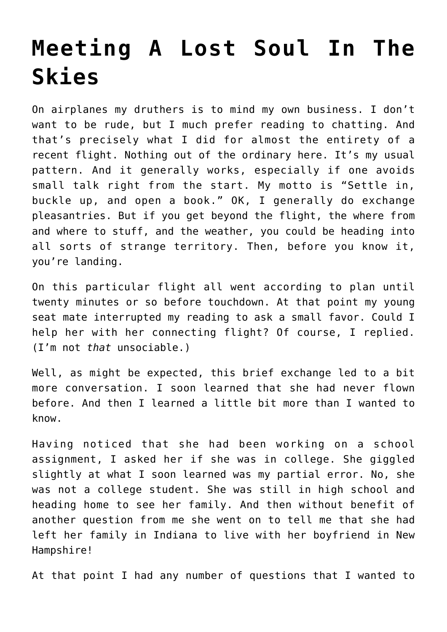## **[Meeting A Lost Soul In The](https://intellectualtakeout.org/2018/10/meeting-a-lost-soul-in-the-skies/) [Skies](https://intellectualtakeout.org/2018/10/meeting-a-lost-soul-in-the-skies/)**

On airplanes my druthers is to mind my own business. I don't want to be rude, but I much prefer reading to chatting. And that's precisely what I did for almost the entirety of a recent flight. Nothing out of the ordinary here. It's my usual pattern. And it generally works, especially if one avoids small talk right from the start. My motto is "Settle in, buckle up, and open a book." OK, I generally do exchange pleasantries. But if you get beyond the flight, the where from and where to stuff, and the weather, you could be heading into all sorts of strange territory. Then, before you know it, you're landing.

On this particular flight all went according to plan until twenty minutes or so before touchdown. At that point my young seat mate interrupted my reading to ask a small favor. Could I help her with her connecting flight? Of course, I replied. (I'm not *that* unsociable.)

Well, as might be expected, this brief exchange led to a bit more conversation. I soon learned that she had never flown before. And then I learned a little bit more than I wanted to know.

Having noticed that she had been working on a school assignment, I asked her if she was in college. She giggled slightly at what I soon learned was my partial error. No, she was not a college student. She was still in high school and heading home to see her family. And then without benefit of another question from me she went on to tell me that she had left her family in Indiana to live with her boyfriend in New Hampshire!

At that point I had any number of questions that I wanted to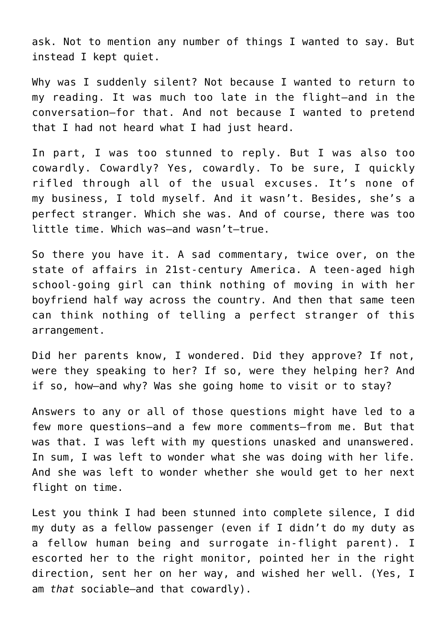ask. Not to mention any number of things I wanted to say. But instead I kept quiet.

Why was I suddenly silent? Not because I wanted to return to my reading. It was much too late in the flight—and in the conversation—for that. And not because I wanted to pretend that I had not heard what I had just heard.

In part, I was too stunned to reply. But I was also too cowardly. Cowardly? Yes, cowardly. To be sure, I quickly rifled through all of the usual excuses. It's none of my business, I told myself. And it wasn't. Besides, she's a perfect stranger. Which she was. And of course, there was too little time. Which was—and wasn't—true.

So there you have it. A sad commentary, twice over, on the state of affairs in 21st-century America. A teen-aged high school-going girl can think nothing of moving in with her boyfriend half way across the country. And then that same teen can think nothing of telling a perfect stranger of this arrangement.

Did her parents know, I wondered. Did they approve? If not, were they speaking to her? If so, were they helping her? And if so, how—and why? Was she going home to visit or to stay?

Answers to any or all of those questions might have led to a few more questions—and a few more comments—from me. But that was that. I was left with my questions unasked and unanswered. In sum, I was left to wonder what she was doing with her life. And she was left to wonder whether she would get to her next flight on time.

Lest you think I had been stunned into complete silence, I did my duty as a fellow passenger (even if I didn't do my duty as a fellow human being and surrogate in-flight parent). I escorted her to the right monitor, pointed her in the right direction, sent her on her way, and wished her well. (Yes, I am *that* sociable—and that cowardly).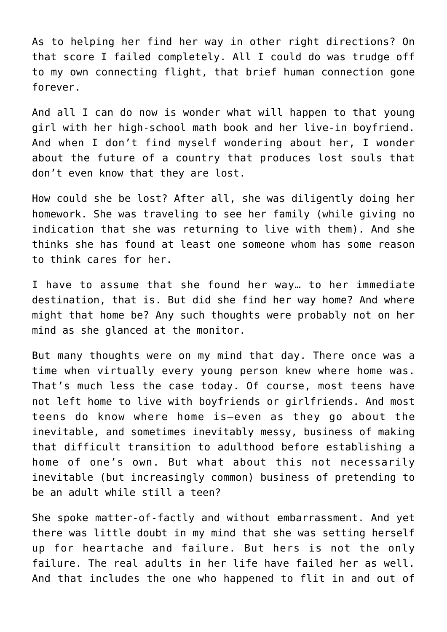As to helping her find her way in other right directions? On that score I failed completely. All I could do was trudge off to my own connecting flight, that brief human connection gone forever.

And all I can do now is wonder what will happen to that young girl with her high-school math book and her live-in boyfriend. And when I don't find myself wondering about her, I wonder about the future of a country that produces lost souls that don't even know that they are lost.

How could she be lost? After all, she was diligently doing her homework. She was traveling to see her family (while giving no indication that she was returning to live with them). And she thinks she has found at least one someone whom has some reason to think cares for her.

I have to assume that she found her way… to her immediate destination, that is. But did she find her way home? And where might that home be? Any such thoughts were probably not on her mind as she glanced at the monitor.

But many thoughts were on my mind that day. There once was a time when virtually every young person knew where home was. That's much less the case today. Of course, most teens have not left home to live with boyfriends or girlfriends. And most teens do know where home is—even as they go about the inevitable, and sometimes inevitably messy, business of making that difficult transition to adulthood before establishing a home of one's own. But what about this not necessarily inevitable (but increasingly common) business of pretending to be an adult while still a teen?

She spoke matter-of-factly and without embarrassment. And yet there was little doubt in my mind that she was setting herself up for heartache and failure. But hers is not the only failure. The real adults in her life have failed her as well. And that includes the one who happened to flit in and out of